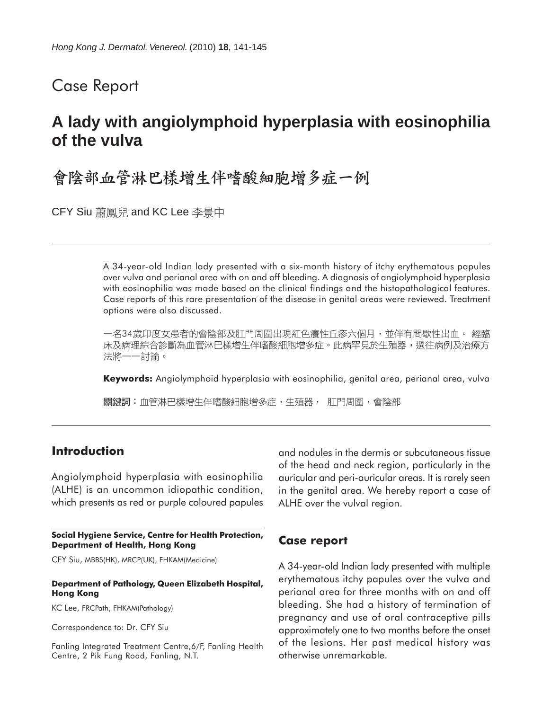## Case Report

# **A lady with angiolymphoid hyperplasia with eosinophilia of the vulva**

## 會陰部血管淋巴樣增生伴嗜酸細胞增多症一例

CFY Siu 蕭鳳兒 and KC Lee 李景中

A 34-year-old Indian lady presented with a six-month history of itchy erythematous papules over vulva and perianal area with on and off bleeding. A diagnosis of angiolymphoid hyperplasia with eosinophilia was made based on the clinical findings and the histopathological features. Case reports of this rare presentation of the disease in genital areas were reviewed. Treatment options were also discussed.

一名34歲印度女患者的會陰部及肛門周圍出現紅色癢性丘疹六個月,並伴有間歇性出血。 經臨 床及病理綜合診斷為血管淋巴樣增生伴嗜酸細胞增多症。此病罕見於生殖器,過往病例及治療方 法將一一討論。

**Keywords:** Angiolymphoid hyperplasia with eosinophilia, genital area, perianal area, vulva

關鍵詞:血管淋巴樣增生伴嗜酸細胞增多症,生殖器, 肛門周圍,會陰部

### **Introduction**

Angiolymphoid hyperplasia with eosinophilia (ALHE) is an uncommon idiopathic condition, which presents as red or purple coloured papules

#### **Social Hygiene Service, Centre for Health Protection, Department of Health, Hong Kong**

CFY Siu, MBBS(HK), MRCP(UK), FHKAM(Medicine)

#### **Department of Pathology, Queen Elizabeth Hospital, Hong Kong**

KC Lee, FRCPath, FHKAM(Pathology)

Correspondence to: Dr. CFY Siu

Fanling Integrated Treatment Centre,6/F, Fanling Health Centre, 2 Pik Fung Road, Fanling, N.T.

and nodules in the dermis or subcutaneous tissue of the head and neck region, particularly in the auricular and peri-auricular areas. It is rarely seen in the genital area. We hereby report a case of ALHE over the vulval region.

### **Case report**

A 34-year-old Indian lady presented with multiple erythematous itchy papules over the vulva and perianal area for three months with on and off bleeding. She had a history of termination of pregnancy and use of oral contraceptive pills approximately one to two months before the onset of the lesions. Her past medical history was otherwise unremarkable.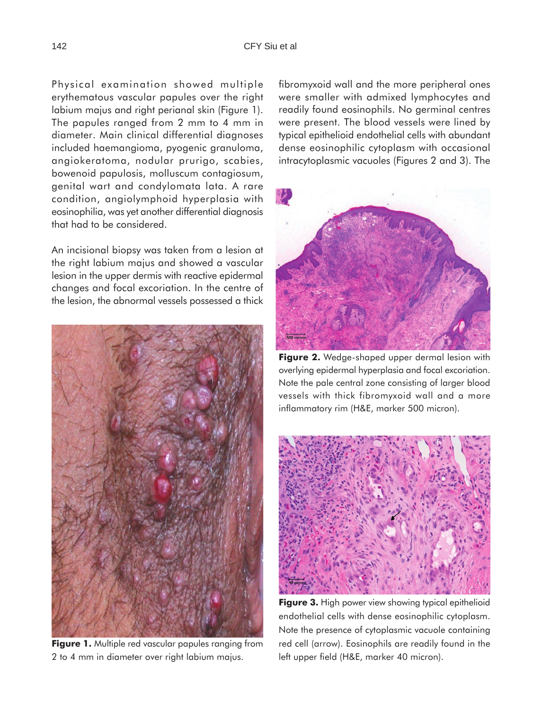Physical examination showed multiple erythematous vascular papules over the right labium majus and right perianal skin (Figure 1). The papules ranged from 2 mm to 4 mm in diameter. Main clinical differential diagnoses included haemangioma, pyogenic granuloma, angiokeratoma, nodular prurigo, scabies, bowenoid papulosis, molluscum contagiosum, genital wart and condylomata lata. A rare condition, angiolymphoid hyperplasia with eosinophilia, was yet another differential diagnosis that had to be considered.

An incisional biopsy was taken from a lesion at the right labium majus and showed a vascular lesion in the upper dermis with reactive epidermal changes and focal excoriation. In the centre of the lesion, the abnormal vessels possessed a thick



**Figure 1.** Multiple red vascular papules ranging from 2 to 4 mm in diameter over right labium majus.

fibromyxoid wall and the more peripheral ones were smaller with admixed lymphocytes and readily found eosinophils. No germinal centres were present. The blood vessels were lined by typical epithelioid endothelial cells with abundant dense eosinophilic cytoplasm with occasional intracytoplasmic vacuoles (Figures 2 and 3). The



**Figure 2.** Wedge-shaped upper dermal lesion with overlying epidermal hyperplasia and focal excoriation. Note the pale central zone consisting of larger blood vessels with thick fibromyxoid wall and a more inflammatory rim (H&E, marker 500 micron).



**Figure 3.** High power view showing typical epithelioid endothelial cells with dense eosinophilic cytoplasm. Note the presence of cytoplasmic vacuole containing red cell (arrow). Eosinophils are readily found in the left upper field (H&E, marker 40 micron).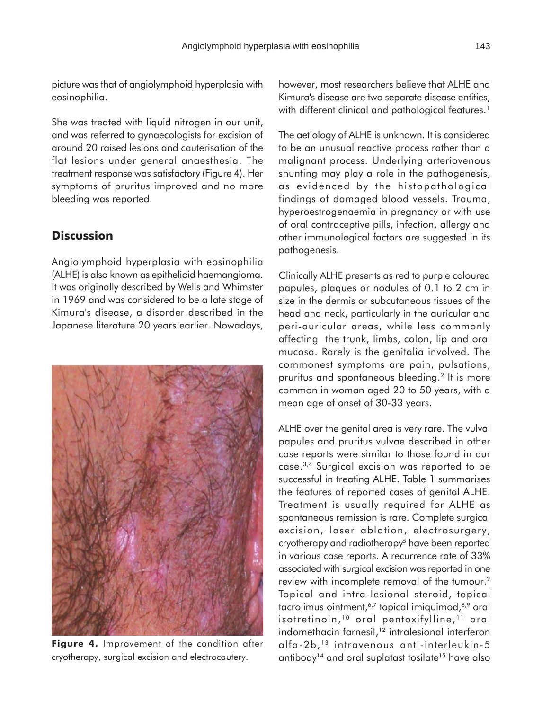picture was that of angiolymphoid hyperplasia with eosinophilia.

She was treated with liquid nitrogen in our unit, and was referred to gynaecologists for excision of around 20 raised lesions and cauterisation of the flat lesions under general anaesthesia. The treatment response was satisfactory (Figure 4). Her symptoms of pruritus improved and no more bleeding was reported.

## **Discussion**

Angiolymphoid hyperplasia with eosinophilia (ALHE) is also known as epithelioid haemangioma. It was originally described by Wells and Whimster in 1969 and was considered to be a late stage of Kimura's disease, a disorder described in the Japanese literature 20 years earlier. Nowadays,



Figure 4. Improvement of the condition after cryotherapy, surgical excision and electrocautery.

however, most researchers believe that ALHE and Kimura's disease are two separate disease entities, with different clinical and pathological features.<sup>1</sup>

The aetiology of ALHE is unknown. It is considered to be an unusual reactive process rather than a malignant process. Underlying arteriovenous shunting may play a role in the pathogenesis, as evidenced by the histopathological findings of damaged blood vessels. Trauma, hyperoestrogenaemia in pregnancy or with use of oral contraceptive pills, infection, allergy and other immunological factors are suggested in its pathogenesis.

Clinically ALHE presents as red to purple coloured papules, plaques or nodules of 0.1 to 2 cm in size in the dermis or subcutaneous tissues of the head and neck, particularly in the auricular and peri-auricular areas, while less commonly affecting the trunk, limbs, colon, lip and oral mucosa. Rarely is the genitalia involved. The commonest symptoms are pain, pulsations, pruritus and spontaneous bleeding.2 It is more common in woman aged 20 to 50 years, with a mean age of onset of 30-33 years.

ALHE over the genital area is very rare. The vulval papules and pruritus vulvae described in other case reports were similar to those found in our case.3,4 Surgical excision was reported to be successful in treating ALHE. Table 1 summarises the features of reported cases of genital ALHE. Treatment is usually required for ALHE as spontaneous remission is rare. Complete surgical excision, laser ablation, electrosurgery, cryotherapy and radiotherapy<sup>5</sup> have been reported in various case reports. A recurrence rate of 33% associated with surgical excision was reported in one review with incomplete removal of the tumour.2 Topical and intra-lesional steroid, topical tacrolimus ointment,<sup>6,7</sup> topical imiquimod,<sup>8,9</sup> oral isotretinoin,<sup>10</sup> oral pentoxifylline,<sup>11</sup> oral indomethacin farnesil,<sup>12</sup> intralesional interferon alfa-2b, 13 intravenous anti-interleukin-5 antibody<sup>14</sup> and oral suplatast tosilate<sup>15</sup> have also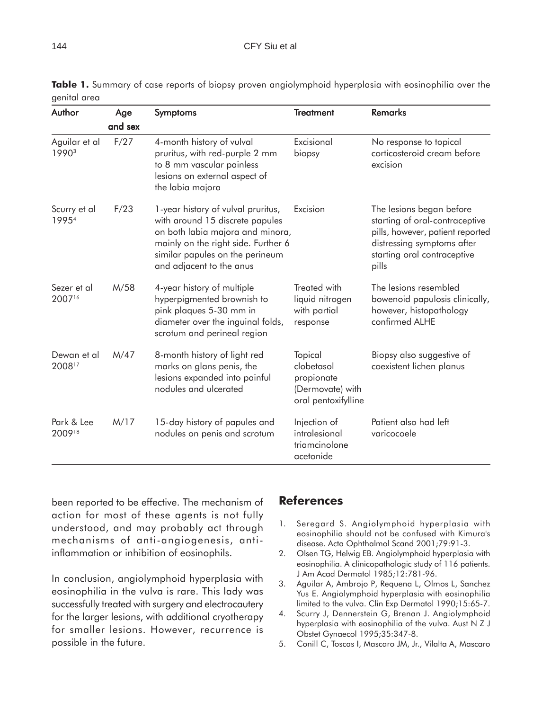| Author                | Age<br>and sex | <b>Symptoms</b>                                                                                                                                                                                                 | <b>Treatment</b>                                                               | <b>Remarks</b>                                                                                                                                                       |
|-----------------------|----------------|-----------------------------------------------------------------------------------------------------------------------------------------------------------------------------------------------------------------|--------------------------------------------------------------------------------|----------------------------------------------------------------------------------------------------------------------------------------------------------------------|
|                       |                |                                                                                                                                                                                                                 |                                                                                |                                                                                                                                                                      |
| Scurry et al<br>19954 | F/23           | 1-year history of vulval pruritus,<br>with around 15 discrete papules<br>on both labia majora and minora,<br>mainly on the right side. Further 6<br>similar papules on the perineum<br>and adjacent to the anus | Excision                                                                       | The lesions began before<br>starting of oral-contraceptive<br>pills, however, patient reported<br>distressing symptoms after<br>starting oral contraceptive<br>pills |
| Sezer et al<br>200716 | M/58           | 4-year history of multiple<br>hyperpigmented brownish to<br>pink plaques 5-30 mm in<br>diameter over the inguinal folds,<br>scrotum and perineal region                                                         | Treated with<br>liquid nitrogen<br>with partial<br>response                    | The lesions resembled<br>bowenoid papulosis clinically,<br>however, histopathology<br>confirmed ALHE                                                                 |
| Dewan et al<br>200817 | M/47           | 8-month history of light red<br>marks on glans penis, the<br>lesions expanded into painful<br>nodules and ulcerated                                                                                             | Topical<br>clobetasol<br>propionate<br>(Dermovate) with<br>oral pentoxifylline | Biopsy also suggestive of<br>coexistent lichen planus                                                                                                                |
| Park & Lee<br>200918  | M/17           | 15-day history of papules and<br>nodules on penis and scrotum                                                                                                                                                   | Injection of<br>intralesional<br>triamcinolone<br>acetonide                    | Patient also had left<br>varicocoele                                                                                                                                 |

**Table 1.** Summary of case reports of biopsy proven angiolymphoid hyperplasia with eosinophilia over the genital area

been reported to be effective. The mechanism of action for most of these agents is not fully understood, and may probably act through mechanisms of anti-angiogenesis, antiinflammation or inhibition of eosinophils.

In conclusion, angiolymphoid hyperplasia with eosinophilia in the vulva is rare. This lady was successfully treated with surgery and electrocautery for the larger lesions, with additional cryotherapy for smaller lesions. However, recurrence is possible in the future.

## **References**

- 1. Seregard S. Angiolymphoid hyperplasia with eosinophilia should not be confused with Kimura's disease. Acta Ophthalmol Scand 2001;79:91-3.
- 2. Olsen TG, Helwig EB. Angiolymphoid hyperplasia with eosinophilia. A clinicopathologic study of 116 patients. J Am Acad Dermatol 1985;12:781-96.
- 3. Aguilar A, Ambrojo P, Requena L, Olmos L, Sanchez Yus E. Angiolymphoid hyperplasia with eosinophilia limited to the vulva. Clin Exp Dermatol 1990;15:65-7.
- 4. Scurry J, Dennerstein G, Brenan J. Angiolymphoid hyperplasia with eosinophilia of the vulva. Aust N Z J Obstet Gynaecol 1995;35:347-8.
- 5. Conill C, Toscas I, Mascaro JM, Jr., Vilalta A, Mascaro